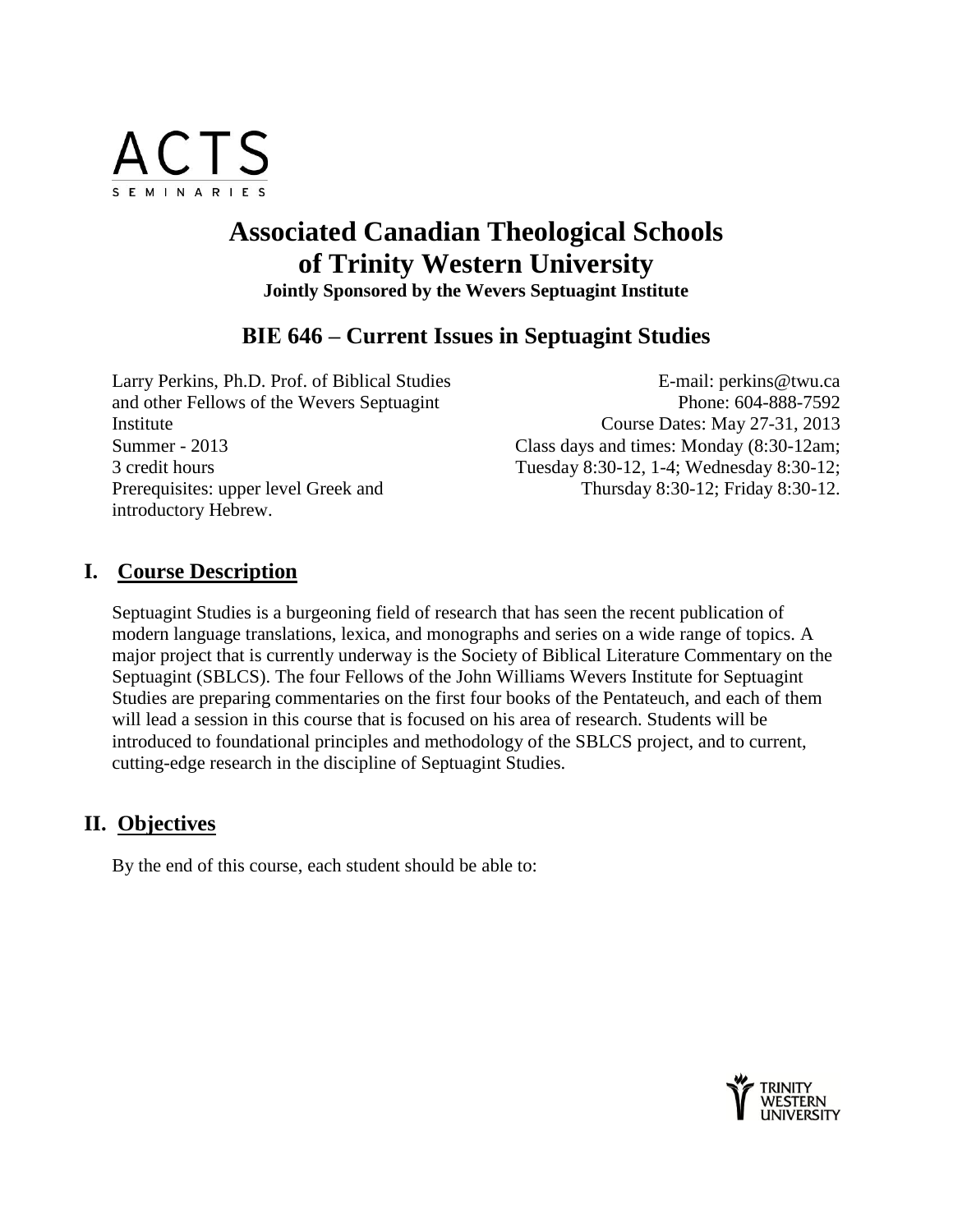

# **Associated Canadian Theological Schools of Trinity Western University Jointly Sponsored by the Wevers Septuagint Institute**

## **ΒΙΕ 646 – Current Issues in Septuagint Studies**

Larry Perkins, Ph.D. Prof. of Biblical Studies and other Fellows of the Wevers Septuagint Institute Summer - 2013 3 credit hours Prerequisites: upper level Greek and introductory Hebrew.

E-mail: perkins@twu.ca Phone: 604-888-7592 Course Dates: May 27-31, 2013 Class days and times: Monday (8:30-12am; Tuesday 8:30-12, 1-4; Wednesday 8:30-12; Thursday 8:30-12; Friday 8:30-12.

### **I. Course Description**

Septuagint Studies is a burgeoning field of research that has seen the recent publication of modern language translations, lexica, and monographs and series on a wide range of topics. A major project that is currently underway is the Society of Biblical Literature Commentary on the Septuagint (SBLCS). The four Fellows of the John Williams Wevers Institute for Septuagint Studies are preparing commentaries on the first four books of the Pentateuch, and each of them will lead a session in this course that is focused on his area of research. Students will be introduced to foundational principles and methodology of the SBLCS project, and to current, cutting-edge research in the discipline of Septuagint Studies.

### **II. Objectives**

By the end of this course, each student should be able to:

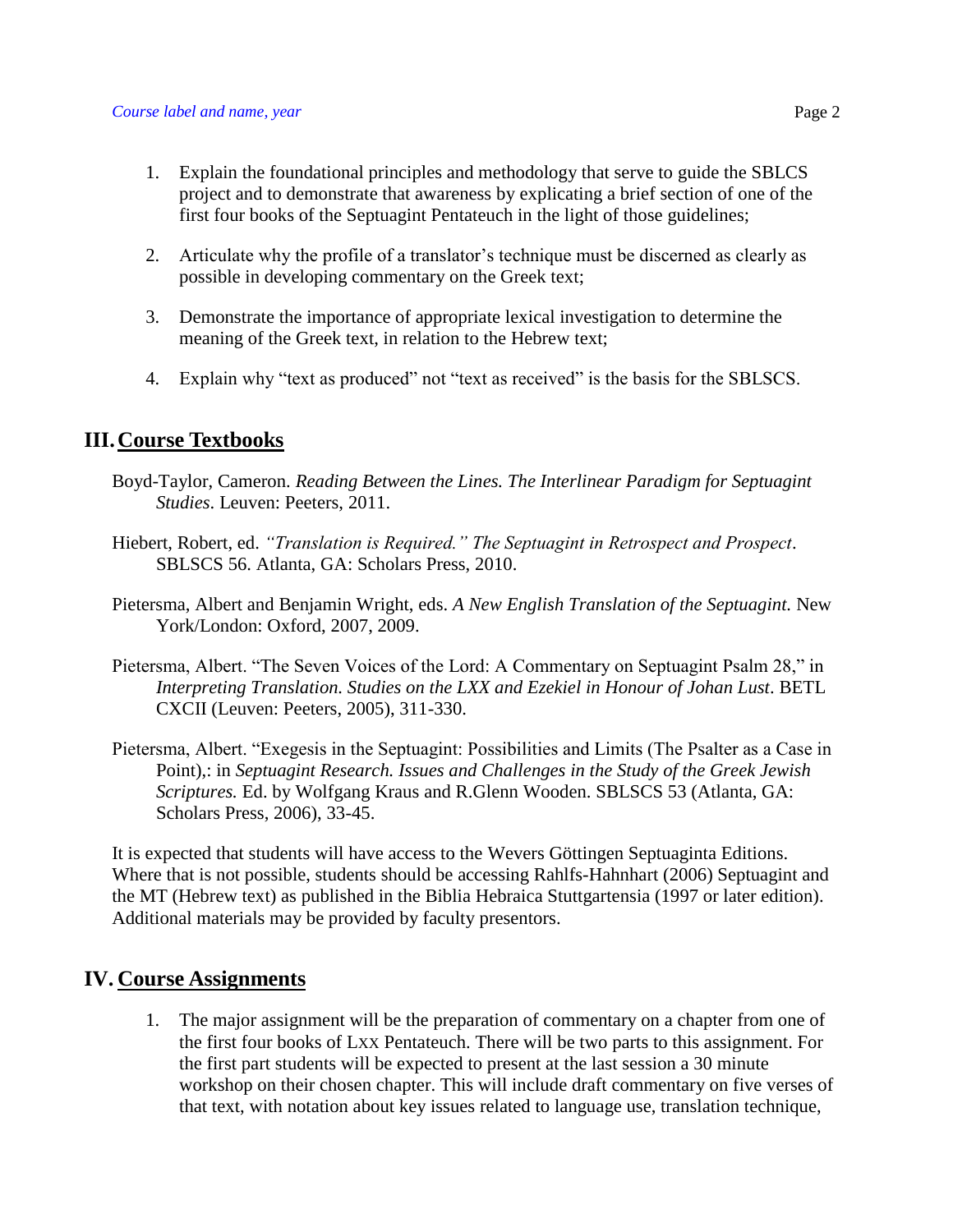- 1. Explain the foundational principles and methodology that serve to guide the SBLCS project and to demonstrate that awareness by explicating a brief section of one of the first four books of the Septuagint Pentateuch in the light of those guidelines;
- 2. Articulate why the profile of a translator's technique must be discerned as clearly as possible in developing commentary on the Greek text;
- 3. Demonstrate the importance of appropriate lexical investigation to determine the meaning of the Greek text, in relation to the Hebrew text;
- 4. Explain why "text as produced" not "text as received" is the basis for the SBLSCS.

### **III.Course Textbooks**

- Boyd-Taylor, Cameron. *Reading Between the Lines. The Interlinear Paradigm for Septuagint Studies*. Leuven: Peeters, 2011.
- Hiebert, Robert, ed. *"Translation is Required." The Septuagint in Retrospect and Prospect*. SBLSCS 56. Atlanta, GA: Scholars Press, 2010.
- Pietersma, Albert and Benjamin Wright, eds. *A New English Translation of the Septuagint.* New York/London: Oxford, 2007, 2009.
- Pietersma, Albert. "The Seven Voices of the Lord: A Commentary on Septuagint Psalm 28," in *Interpreting Translation. Studies on the LXX and Ezekiel in Honour of Johan Lust*. BETL CXCII (Leuven: Peeters, 2005), 311-330.
- Pietersma, Albert. "Exegesis in the Septuagint: Possibilities and Limits (The Psalter as a Case in Point),: in *Septuagint Research. Issues and Challenges in the Study of the Greek Jewish Scriptures.* Ed. by Wolfgang Kraus and R.Glenn Wooden. SBLSCS 53 (Atlanta, GA: Scholars Press, 2006), 33-45.

It is expected that students will have access to the Wevers Göttingen Septuaginta Editions. Where that is not possible, students should be accessing Rahlfs-Hahnhart (2006) Septuagint and the MT (Hebrew text) as published in the Biblia Hebraica Stuttgartensia (1997 or later edition). Additional materials may be provided by faculty presentors.

### **IV. Course Assignments**

1. The major assignment will be the preparation of commentary on a chapter from one of the first four books of LXX Pentateuch. There will be two parts to this assignment. For the first part students will be expected to present at the last session a 30 minute workshop on their chosen chapter. This will include draft commentary on five verses of that text, with notation about key issues related to language use, translation technique,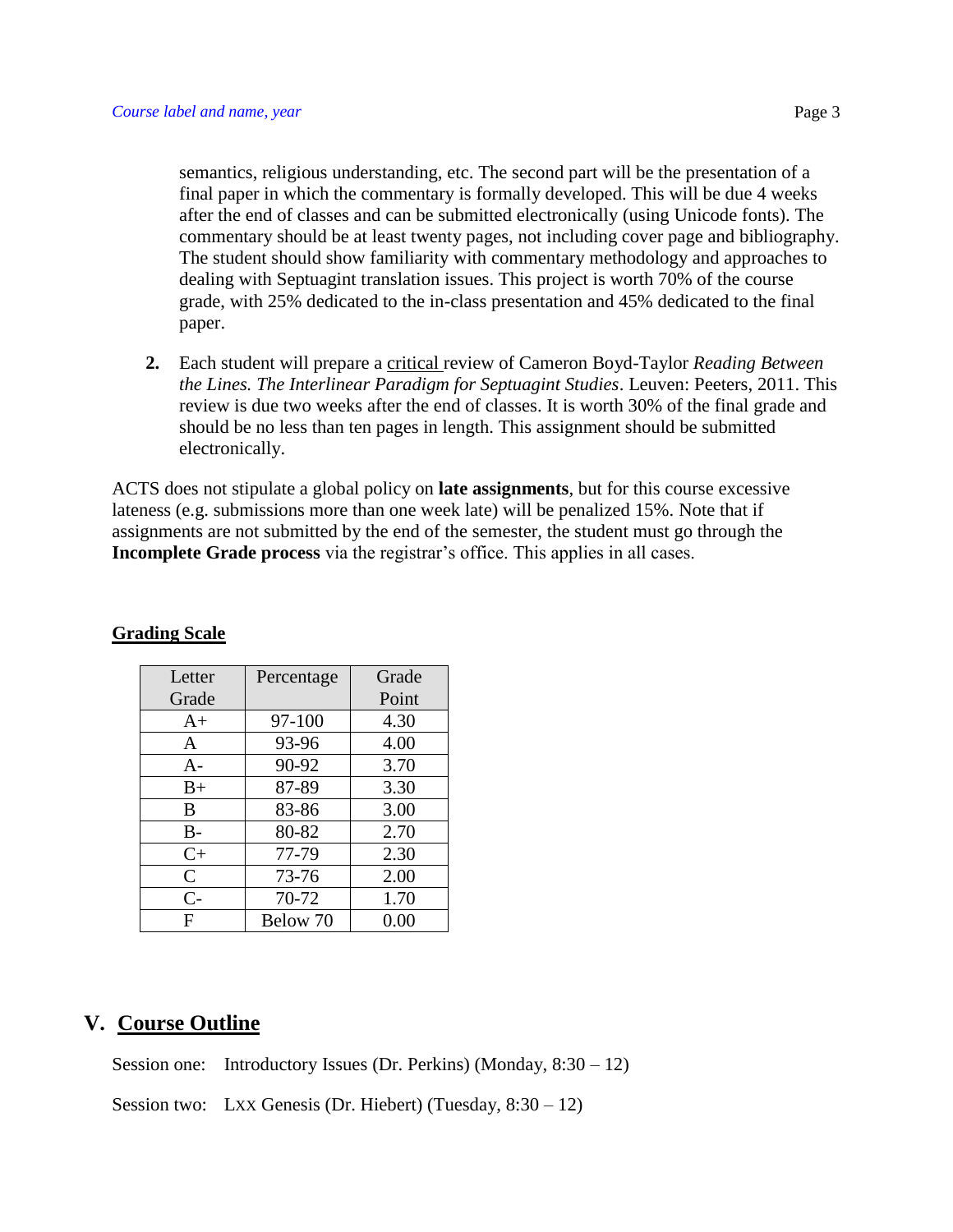semantics, religious understanding, etc. The second part will be the presentation of a final paper in which the commentary is formally developed. This will be due 4 weeks after the end of classes and can be submitted electronically (using Unicode fonts). The commentary should be at least twenty pages, not including cover page and bibliography. The student should show familiarity with commentary methodology and approaches to dealing with Septuagint translation issues. This project is worth 70% of the course grade, with 25% dedicated to the in-class presentation and 45% dedicated to the final paper.

**2.** Each student will prepare a critical review of Cameron Boyd-Taylor *Reading Between the Lines. The Interlinear Paradigm for Septuagint Studies*. Leuven: Peeters, 2011. This review is due two weeks after the end of classes. It is worth 30% of the final grade and should be no less than ten pages in length. This assignment should be submitted electronically.

ACTS does not stipulate a global policy on **late assignments**, but for this course excessive lateness (e.g. submissions more than one week late) will be penalized 15%. Note that if assignments are not submitted by the end of the semester, the student must go through the **Incomplete Grade process** via the registrar's office. This applies in all cases.

| Letter       | Percentage | Grade |
|--------------|------------|-------|
| Grade        |            | Point |
| $A+$         | 97-100     | 4.30  |
| A            | 93-96      | 4.00  |
| $A-$         | 90-92      | 3.70  |
| $B+$         | 87-89      | 3.30  |
| B            | 83-86      | 3.00  |
| $B-$         | 80-82      | 2.70  |
| $C+$         | 77-79      | 2.30  |
| $\mathsf{C}$ | 73-76      | 2.00  |
| $C-$         | 70-72      | 1.70  |
| F            | Below 70   | 0.00  |

#### **Grading Scale**

### **V. Course Outline**

Session one: Introductory Issues (Dr. Perkins) (Monday, 8:30 – 12)

Session two: LXX Genesis (Dr. Hiebert) (Tuesday,  $8:30-12$ )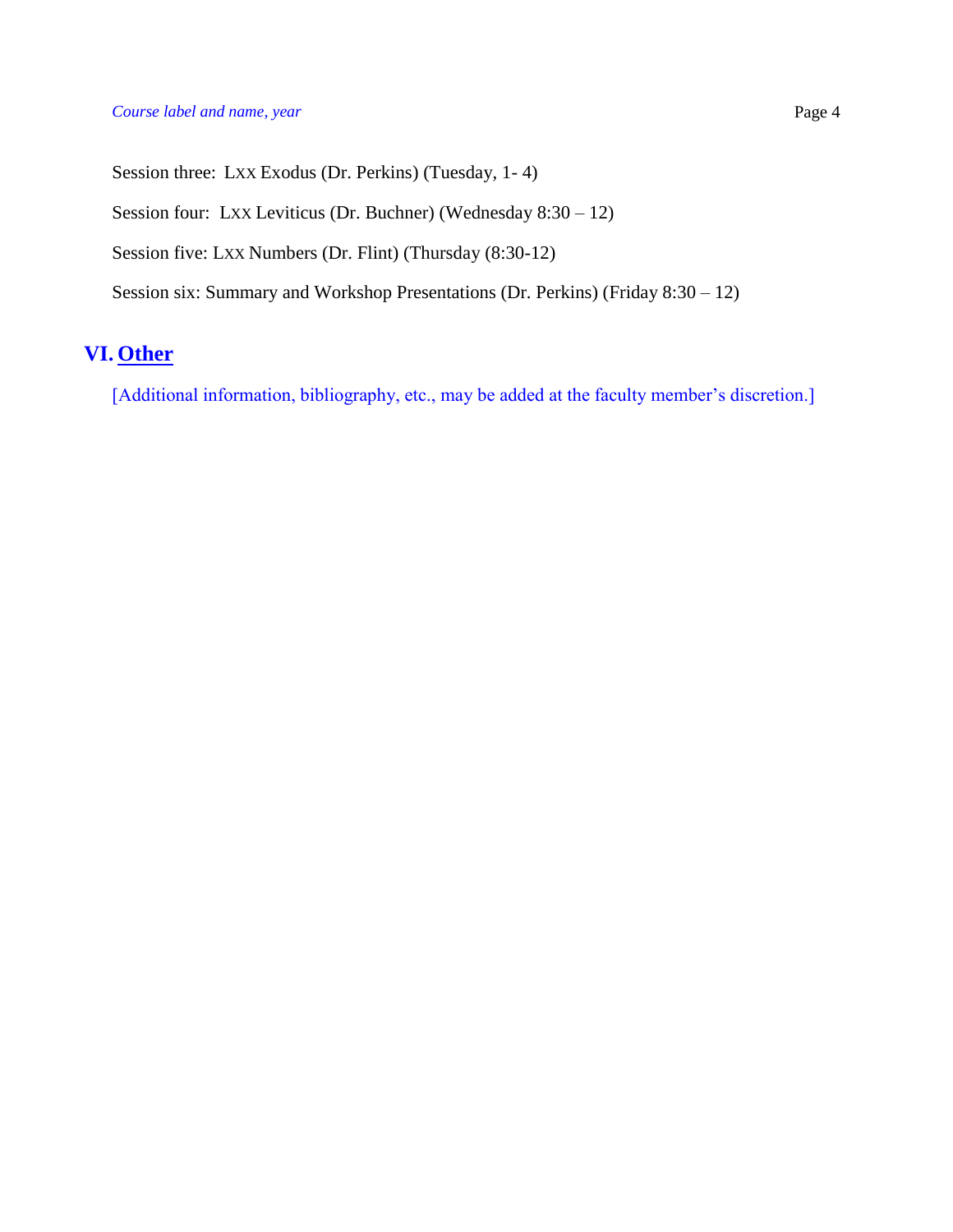#### *Course label and name, year* **Page 4**

Session three: LXX Exodus (Dr. Perkins) (Tuesday, 1- 4)

Session four: LXX Leviticus (Dr. Buchner) (Wednesday 8:30 – 12)

Session five: LXX Numbers (Dr. Flint) (Thursday (8:30-12)

Session six: Summary and Workshop Presentations (Dr. Perkins) (Friday 8:30 – 12)

## **VI. Other**

[Additional information, bibliography, etc., may be added at the faculty member's discretion.]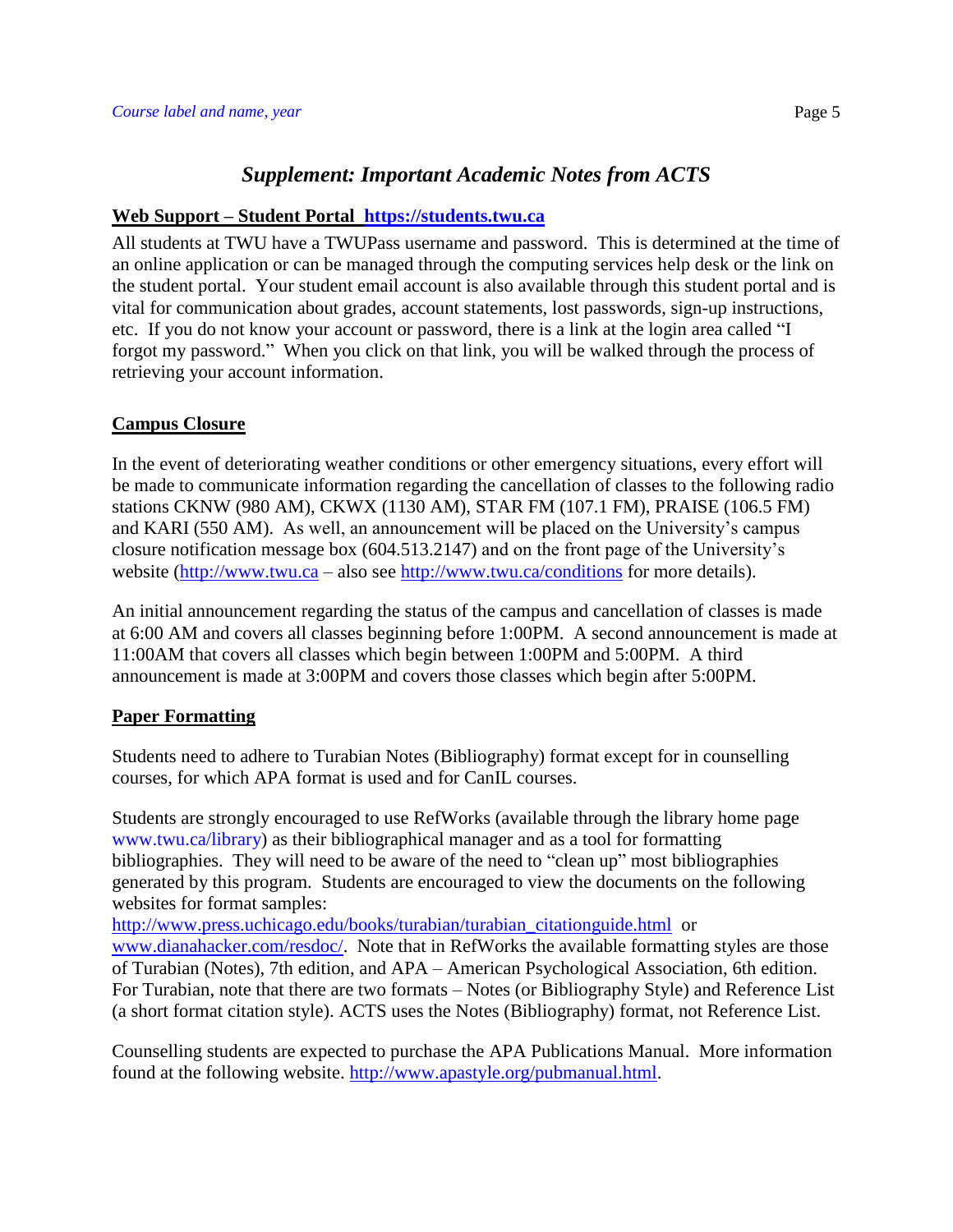### *Supplement: Important Academic Notes from ACTS*

#### **Web Support – Student Portal [https://students.twu.ca](https://students.twu.ca/)**

All students at TWU have a TWUPass username and password. This is determined at the time of an online application or can be managed through the computing services help desk or the link on the student portal. Your student email account is also available through this student portal and is vital for communication about grades, account statements, lost passwords, sign-up instructions, etc. If you do not know your account or password, there is a link at the login area called "I forgot my password." When you click on that link, you will be walked through the process of retrieving your account information.

#### **Campus Closure**

In the event of deteriorating weather conditions or other emergency situations, every effort will be made to communicate information regarding the cancellation of classes to the following radio stations CKNW (980 AM), CKWX (1130 AM), STAR FM (107.1 FM), PRAISE (106.5 FM) and KARI (550 AM). As well, an announcement will be placed on the University's campus closure notification message box (604.513.2147) and on the front page of the University's website [\(http://www.twu.ca](http://www.twu.ca/) – also see<http://www.twu.ca/conditions> for more details).

An initial announcement regarding the status of the campus and cancellation of classes is made at 6:00 AM and covers all classes beginning before 1:00PM. A second announcement is made at 11:00AM that covers all classes which begin between 1:00PM and 5:00PM. A third announcement is made at 3:00PM and covers those classes which begin after 5:00PM.

#### **Paper Formatting**

Students need to adhere to Turabian Notes (Bibliography) format except for in counselling courses, for which APA format is used and for CanIL courses.

Students are strongly encouraged to use RefWorks (available through the library home page www.twu.ca/library) as their bibliographical manager and as a tool for formatting bibliographies. They will need to be aware of the need to "clean up" most bibliographies generated by this program. Students are encouraged to view the documents on the following websites for format samples:

[http://www.press.uchicago.edu/books/turabian/turabian\\_citationguide.html](http://www.press.uchicago.edu/books/turabian/turabian_citationguide.html) or [www.dianahacker.com/resdoc/.](http://www.dianahacker.com/resdoc/) Note that in RefWorks the available formatting styles are those of Turabian (Notes), 7th edition, and APA – American Psychological Association, 6th edition. For Turabian, note that there are two formats – Notes (or Bibliography Style) and Reference List (a short format citation style). ACTS uses the Notes (Bibliography) format, not Reference List.

Counselling students are expected to purchase the APA Publications Manual. More information found at the following website. [http://www.apastyle.org/pubmanual.html.](http://www.apastyle.org/pubmanual.html)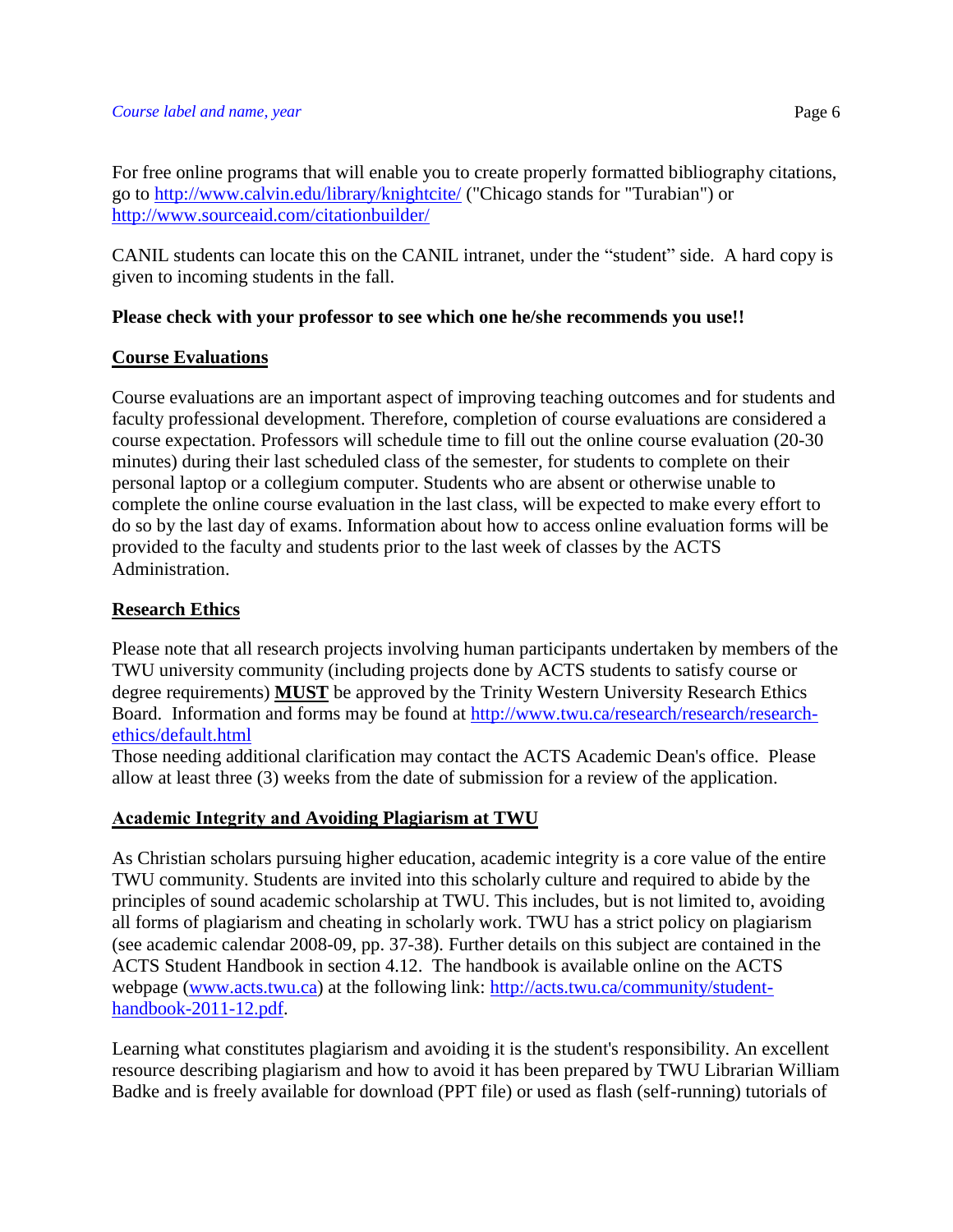For free online programs that will enable you to create properly formatted bibliography citations, go to<http://www.calvin.edu/library/knightcite/> ("Chicago stands for "Turabian") or <http://www.sourceaid.com/citationbuilder/>

CANIL students can locate this on the CANIL intranet, under the "student" side. A hard copy is given to incoming students in the fall.

### **Please check with your professor to see which one he/she recommends you use!!**

### **Course Evaluations**

Course evaluations are an important aspect of improving teaching outcomes and for students and faculty professional development. Therefore, completion of course evaluations are considered a course expectation. Professors will schedule time to fill out the online course evaluation (20-30 minutes) during their last scheduled class of the semester, for students to complete on their personal laptop or a collegium computer. Students who are absent or otherwise unable to complete the online course evaluation in the last class, will be expected to make every effort to do so by the last day of exams. Information about how to access online evaluation forms will be provided to the faculty and students prior to the last week of classes by the ACTS Administration.

### **Research Ethics**

Please note that all research projects involving human participants undertaken by members of the TWU university community (including projects done by ACTS students to satisfy course or degree requirements) **MUST** be approved by the Trinity Western University Research Ethics Board. Information and forms may be found at [http://www.twu.ca/research/research/research](http://www.twu.ca/research/research/research-ethics/default.html)[ethics/default.html](http://www.twu.ca/research/research/research-ethics/default.html)

Those needing additional clarification may contact the ACTS Academic Dean's office. Please allow at least three (3) weeks from the date of submission for a review of the application.

### **Academic Integrity and Avoiding Plagiarism at TWU**

As Christian scholars pursuing higher education, academic integrity is a core value of the entire TWU community. Students are invited into this scholarly culture and required to abide by the principles of sound academic scholarship at TWU. This includes, but is not limited to, avoiding all forms of plagiarism and cheating in scholarly work. TWU has a strict policy on plagiarism (see academic calendar 2008-09, pp. 37-38). Further details on this subject are contained in the ACTS Student Handbook in section 4.12. The handbook is available online on the ACTS webpage [\(www.acts.twu.ca\)](http://www.acts.twu.ca/) at the following link: [http://acts.twu.ca/community/student](http://acts.twu.ca/community/student-handbook-2011-12.pdf)[handbook-2011-12.pdf.](http://acts.twu.ca/community/student-handbook-2011-12.pdf)

Learning what constitutes plagiarism and avoiding it is the student's responsibility. An excellent resource describing plagiarism and how to avoid it has been prepared by TWU Librarian William Badke and is freely available for download (PPT file) or used as flash (self-running) tutorials of